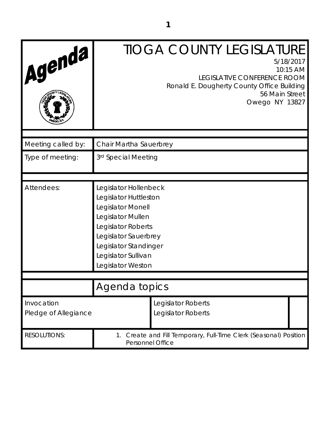| Agenda                             | <b>TIOGA COUNTY LEGISLATURE</b><br>5/18/2017<br>10:15 AM<br>LEGISLATIVE CONFERENCE ROOM<br>Ronald E. Dougherty County Office Building<br>56 Main Street<br>Owego NY 13827                                   |
|------------------------------------|-------------------------------------------------------------------------------------------------------------------------------------------------------------------------------------------------------------|
| Meeting called by:                 | Chair Martha Sauerbrey                                                                                                                                                                                      |
| Type of meeting:                   | 3rd Special Meeting                                                                                                                                                                                         |
|                                    |                                                                                                                                                                                                             |
| Attendees:                         | Legislator Hollenbeck<br>Legislator Huttleston<br>Legislator Monell<br>Legislator Mullen<br>Legislator Roberts<br>Legislator Sauerbrey<br>Legislator Standinger<br>Legislator Sullivan<br>Legislator Weston |
|                                    |                                                                                                                                                                                                             |
|                                    | Agenda topics                                                                                                                                                                                               |
| Invocation<br>Pledge of Allegiance | Legislator Roberts<br>Legislator Roberts                                                                                                                                                                    |
| <b>RESOLUTIONS:</b>                | Create and Fill Temporary, Full-Time Clerk (Seasonal) Position<br>1.<br>Personnel Office                                                                                                                    |